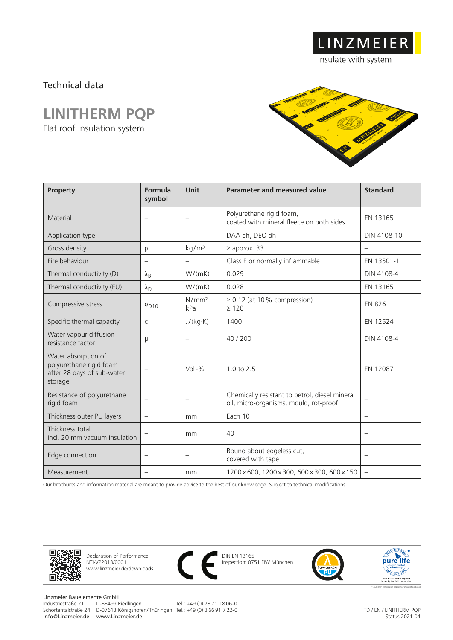## Technical data

## **LINITHERM PQP**

Flat roof insulation system



LINZMEIER

Insulate with system

| Property                                                                                | Formula<br>symbol                 | Unit                     | Parameter and measured value                                                             | <b>Standard</b>                   |
|-----------------------------------------------------------------------------------------|-----------------------------------|--------------------------|------------------------------------------------------------------------------------------|-----------------------------------|
| Material                                                                                | $\equiv$                          | $\overline{\phantom{0}}$ | Polyurethane rigid foam,<br>coated with mineral fleece on both sides                     | EN 13165                          |
| Application type                                                                        | $\overbrace{\phantom{123221111}}$ | $\overline{\phantom{m}}$ | DAA dh, DEO dh                                                                           | DIN 4108-10                       |
| Gross density                                                                           | ρ                                 | kg/m <sup>3</sup>        | $\geq$ approx. 33                                                                        | $\overline{\phantom{m}}$          |
| Fire behaviour                                                                          |                                   | $\overline{\phantom{m}}$ | Class E or normally inflammable                                                          | EN 13501-1                        |
| Thermal conductivity (D)                                                                | $\lambda_{\rm B}$                 | W/(mK)                   | 0.029                                                                                    | DIN 4108-4                        |
| Thermal conductivity (EU)                                                               | $\lambda_{\rm D}$                 | W/(mK)                   | 0.028                                                                                    | EN 13165                          |
| Compressive stress                                                                      | $\sigma_{D10}$                    | N/mm <sup>2</sup><br>kPa | $\geq$ 0.12 (at 10% compression)<br>>120                                                 | <b>EN 826</b>                     |
| Specific thermal capacity                                                               | $\mathsf{C}$                      | J/(kg·K)                 | 1400                                                                                     | EN 12524                          |
| Water vapour diffusion<br>resistance factor                                             | $\mu$                             | $\overline{\phantom{m}}$ | 40/200                                                                                   | DIN 4108-4                        |
| Water absorption of<br>polyurethane rigid foam<br>after 28 days of sub-water<br>storage |                                   | $Vol - %$                | 1.0 to 2.5                                                                               | EN 12087                          |
| Resistance of polyurethane<br>rigid foam                                                | $\equiv$                          | $\qquad \qquad -$        | Chemically resistant to petrol, diesel mineral<br>oil, micro-organisms, mould, rot-proof |                                   |
| Thickness outer PU layers                                                               | $\overbrace{\phantom{123221111}}$ | mm                       | Each 10                                                                                  | $\overbrace{\phantom{123221111}}$ |
| Thickness total<br>incl. 20 mm vacuum insulation                                        |                                   | mm                       | 40                                                                                       | $\qquad \qquad -$                 |
| Edge connection                                                                         |                                   |                          | Round about edgeless cut,<br>covered with tape                                           |                                   |
| Measurement                                                                             | $\overline{\phantom{0}}$          | mm                       | 1200 × 600, 1200 × 300, 600 × 300, 600 × 150                                             | $\overline{\phantom{m}}$          |

Our brochures and information material are meant to provide advice to the best of our knowledge. Subject to technical modifications.



Declaration of Performance NTI-VP2013/0001 www.linzmeier.de/downloads



DIN EN 13165 Inspection: 0751 FIW München





Linzmeier Bauelemente GmbH<br>Industriestraße 21 D-88499 Riedlingen Info@Linzmeier.de www.Linzmeier.de

Schortentalstraße 24 D-07613 Königshofen/ Thüringen Tel.: +49 (0) 3 66 91 7 22-0

Tel.: +49 (0) 73 71 18 06-0

TD / EN / LINITHERM PQP Status 2021-04